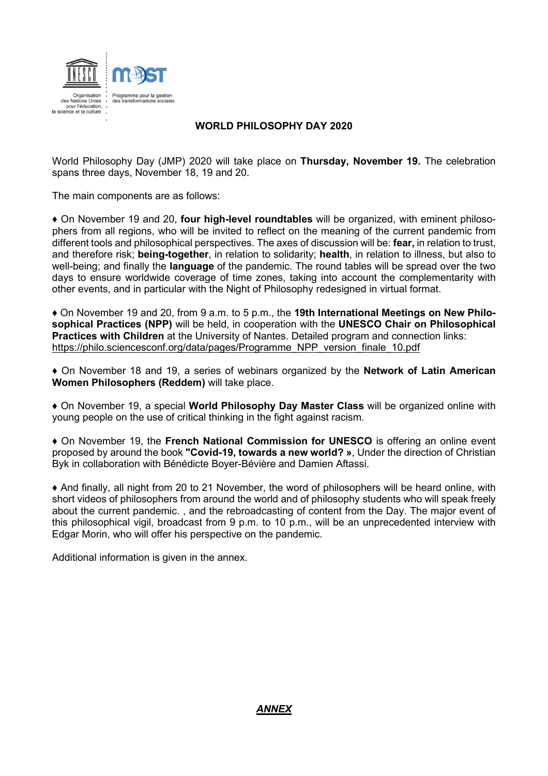

# **WORLD PHILOSOPHY DAY 2020**

World Philosophy Day (JMP) 2020 will take place on **Thursday, November 19.** The celebration spans three days, November 18, 19 and 20.

The main components are as follows:

♦ On November 19 and 20, **four high-level roundtables** will be organized, with eminent philosophers from all regions, who will be invited to reflect on the meaning of the current pandemic from different tools and philosophical perspectives. The axes of discussion will be: **fear,** in relation to trust, and therefore risk; **being-together**, in relation to solidarity; **health**, in relation to illness, but also to well-being; and finally the **language** of the pandemic. The round tables will be spread over the two days to ensure worldwide coverage of time zones, taking into account the complementarity with other events, and in particular with the Night of Philosophy redesigned in virtual format.

♦ On November 19 and 20, from 9 a.m. to 5 p.m., the **19th International Meetings on New Philosophical Practices (NPP)** will be held, in cooperation with the **UNESCO Chair on Philosophical Practices with Children** at the University of Nantes. Detailed program and connection links: [https://philo.sciencesconf.org/data/pages/Programme\\_NPP\\_version\\_finale\\_10.pdf](https://philo.sciencesconf.org/data/pages/Programme_NPP_version_finale_10.pdf)

♦ On November 18 and 19, a series of webinars organized by the **Network of Latin American Women Philosophers (Reddem)** will take place.

♦ On November 19, a special **World Philosophy Day Master Class** will be organized online with young people on the use of critical thinking in the fight against racism.

♦ On November 19, the **French National Commission for UNESCO** is offering an online event proposed by around the book **"Covid-19, towards a new world? »**, Under the direction of Christian Byk in collaboration with Bénédicte Boyer-Bévière and Damien Aftassi.

♦ And finally, all night from 20 to 21 November, the word of philosophers will be heard online, with short videos of philosophers from around the world and of philosophy students who will speak freely about the current pandemic. , and the rebroadcasting of content from the Day. The major event of this philosophical vigil, broadcast from 9 p.m. to 10 p.m., will be an unprecedented interview with Edgar Morin, who will offer his perspective on the pandemic.

Additional information is given in the annex.

## *ANNEX*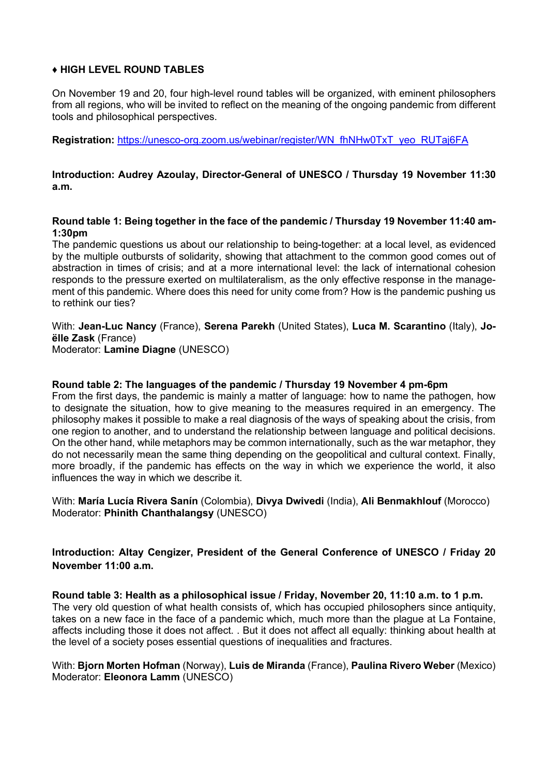## ♦ **HIGH LEVEL ROUND TABLES**

On November 19 and 20, four high-level round tables will be organized, with eminent philosophers from all regions, who will be invited to reflect on the meaning of the ongoing pandemic from different tools and philosophical perspectives.

**Registration:** [https://unesco-org.zoom.us/webinar/register/WN\\_fhNHw0TxT\\_yeo\\_RUTaj6FA](https://unesco-org.zoom.us/webinar/register/WN_fhNHw0TxT_yeo_RUTaj6FA)

**Introduction: Audrey Azoulay, Director-General of UNESCO / Thursday 19 November 11:30 a.m.**

**Round table 1: Being together in the face of the pandemic / Thursday 19 November 11:40 am-1:30pm**

The pandemic questions us about our relationship to being-together: at a local level, as evidenced by the multiple outbursts of solidarity, showing that attachment to the common good comes out of abstraction in times of crisis; and at a more international level: the lack of international cohesion responds to the pressure exerted on multilateralism, as the only effective response in the management of this pandemic. Where does this need for unity come from? How is the pandemic pushing us to rethink our ties?

With: **Jean-Luc Nancy** (France), **Serena Parekh** (United States), **Luca M. Scarantino** (Italy), **Joëlle Zask** (France) Moderator: **Lamine Diagne** (UNESCO)

### **Round table 2: The languages of the pandemic / Thursday 19 November 4 pm-6pm**

From the first days, the pandemic is mainly a matter of language: how to name the pathogen, how to designate the situation, how to give meaning to the measures required in an emergency. The philosophy makes it possible to make a real diagnosis of the ways of speaking about the crisis, from one region to another, and to understand the relationship between language and political decisions. On the other hand, while metaphors may be common internationally, such as the war metaphor, they do not necessarily mean the same thing depending on the geopolitical and cultural context. Finally, more broadly, if the pandemic has effects on the way in which we experience the world, it also influences the way in which we describe it.

With: **María Lucía Rivera Sanín** (Colombia), **Divya Dwivedi** (India), **Ali Benmakhlouf** (Morocco) Moderator: **Phinith Chanthalangsy** (UNESCO)

**Introduction: Altay Cengizer, President of the General Conference of UNESCO / Friday 20 November 11:00 a.m.**

**Round table 3: Health as a philosophical issue / Friday, November 20, 11:10 a.m. to 1 p.m.** The very old question of what health consists of, which has occupied philosophers since antiquity, takes on a new face in the face of a pandemic which, much more than the plague at La Fontaine, affects including those it does not affect. . But it does not affect all equally: thinking about health at the level of a society poses essential questions of inequalities and fractures.

## With: **Bjorn Morten Hofman** (Norway), **Luis de Miranda** (France), **Paulina Rivero Weber** (Mexico) Moderator: **Eleonora Lamm** (UNESCO)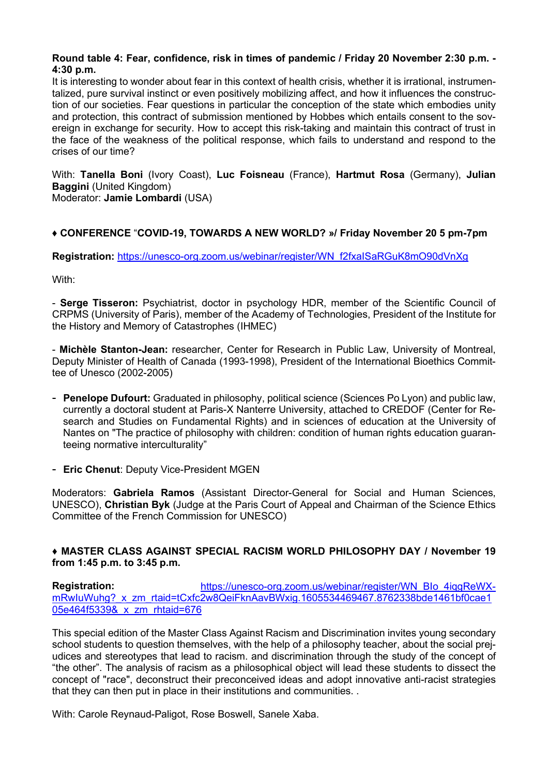### **Round table 4: Fear, confidence, risk in times of pandemic / Friday 20 November 2:30 p.m. - 4:30 p.m.**

It is interesting to wonder about fear in this context of health crisis, whether it is irrational, instrumentalized, pure survival instinct or even positively mobilizing affect, and how it influences the construction of our societies. Fear questions in particular the conception of the state which embodies unity and protection, this contract of submission mentioned by Hobbes which entails consent to the sovereign in exchange for security. How to accept this risk-taking and maintain this contract of trust in the face of the weakness of the political response, which fails to understand and respond to the crises of our time?

With: **Tanella Boni** (Ivory Coast), **Luc Foisneau** (France), **Hartmut Rosa** (Germany), **Julian Baggini** (United Kingdom) Moderator: **Jamie Lombardi** (USA)

# ♦ **CONFERENCE** "**COVID-19, TOWARDS A NEW WORLD? »/ Friday November 20 5 pm-7pm**

**Registration:** [https://unesco-org.zoom.us/webinar/register/WN\\_f2fxaISaRGuK8mO90dVnXg](https://unesco-org.zoom.us/webinar/register/WN_f2fxaISaRGuK8mO90dVnXg)

With:

- **Serge Tisseron:** Psychiatrist, doctor in psychology HDR, member of the Scientific Council of CRPMS (University of Paris), member of the Academy of Technologies, President of the Institute for the History and Memory of Catastrophes (IHMEC)

- **Michèle Stanton-Jean:** researcher, Center for Research in Public Law, University of Montreal, Deputy Minister of Health of Canada (1993-1998), President of the International Bioethics Committee of Unesco (2002-2005)

- **Penelope Dufourt:** Graduated in philosophy, political science (Sciences Po Lyon) and public law, currently a doctoral student at Paris-X Nanterre University, attached to CREDOF (Center for Research and Studies on Fundamental Rights) and in sciences of education at the University of Nantes on "The practice of philosophy with children: condition of human rights education guaranteeing normative interculturality"
- **Eric Chenut**: Deputy Vice-President MGEN

Moderators: **Gabriela Ramos** (Assistant Director-General for Social and Human Sciences, UNESCO), **Christian Byk** (Judge at the Paris Court of Appeal and Chairman of the Science Ethics Committee of the French Commission for UNESCO)

### ♦ **MASTER CLASS AGAINST SPECIAL RACISM WORLD PHILOSOPHY DAY / November 19 from 1:45 p.m. to 3:45 p.m.**

**Registration:** [https://unesco-org.zoom.us/webinar/register/WN\\_BIo\\_4iqgReWX](https://unesco-org.zoom.us/webinar/register/WN_BIo_4iqgReWX-mRwIuWuhg?_x_zm_rtaid=tCxfc2w8QeiFknAavBWxig.1605534469467.8762338bde1461bf0cae105e464f5339&_x_zm_rhtaid=676)[mRwIuWuhg?\\_x\\_zm\\_rtaid=tCxfc2w8QeiFknAavBWxig.1605534469467.8762338bde1461bf0cae1](https://unesco-org.zoom.us/webinar/register/WN_BIo_4iqgReWX-mRwIuWuhg?_x_zm_rtaid=tCxfc2w8QeiFknAavBWxig.1605534469467.8762338bde1461bf0cae105e464f5339&_x_zm_rhtaid=676) [05e464f5339&\\_x\\_zm\\_rhtaid=676](https://unesco-org.zoom.us/webinar/register/WN_BIo_4iqgReWX-mRwIuWuhg?_x_zm_rtaid=tCxfc2w8QeiFknAavBWxig.1605534469467.8762338bde1461bf0cae105e464f5339&_x_zm_rhtaid=676)

This special edition of the Master Class Against Racism and Discrimination invites young secondary school students to question themselves, with the help of a philosophy teacher, about the social prejudices and stereotypes that lead to racism. and discrimination through the study of the concept of "the other". The analysis of racism as a philosophical object will lead these students to dissect the concept of "race", deconstruct their preconceived ideas and adopt innovative anti-racist strategies that they can then put in place in their institutions and communities. .

With: Carole Reynaud-Paligot, Rose Boswell, Sanele Xaba.